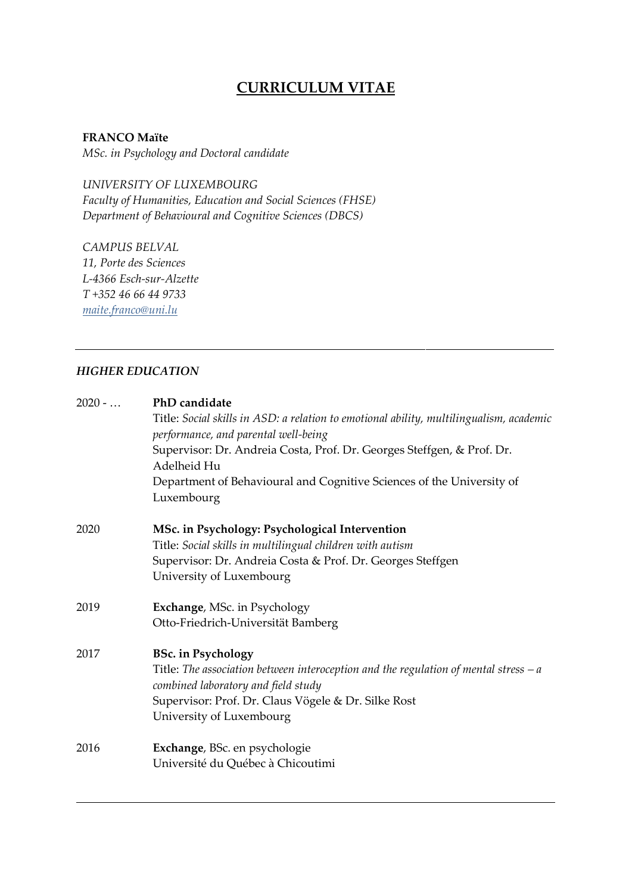# **CURRICULUM VITAE**

**FRANCO Maïte**

*MSc. in Psychology and Doctoral candidate*

*UNIVERSITY OF LUXEMBOURG Faculty of Humanities, Education and Social Sciences (FHSE) Department of Behavioural and Cognitive Sciences (DBCS)*

*CAMPUS BELVAL 11, Porte des Sciences L-4366 Esch-sur-Alzette T +352 46 66 44 9733 [maite.franco@uni.lu](mailto:maite.franco@uni.lu)*

### *HIGHER EDUCATION*

| $2020 - $ | PhD candidate                                                                                                                   |
|-----------|---------------------------------------------------------------------------------------------------------------------------------|
|           | Title: Social skills in ASD: a relation to emotional ability, multilingualism, academic<br>performance, and parental well-being |
|           | Supervisor: Dr. Andreia Costa, Prof. Dr. Georges Steffgen, & Prof. Dr.<br>Adelheid Hu                                           |
|           | Department of Behavioural and Cognitive Sciences of the University of<br>Luxembourg                                             |
| 2020      | MSc. in Psychology: Psychological Intervention                                                                                  |
|           | Title: Social skills in multilingual children with autism                                                                       |
|           | Supervisor: Dr. Andreia Costa & Prof. Dr. Georges Steffgen                                                                      |
|           | University of Luxembourg                                                                                                        |
| 2019      | Exchange, MSc. in Psychology                                                                                                    |
|           | Otto-Friedrich-Universität Bamberg                                                                                              |
| 2017      | <b>BSc.</b> in Psychology                                                                                                       |
|           | Title: The association between interoception and the regulation of mental stress $-a$<br>combined laboratory and field study    |
|           | Supervisor: Prof. Dr. Claus Vögele & Dr. Silke Rost                                                                             |
|           | University of Luxembourg                                                                                                        |
| 2016      | Exchange, BSc. en psychologie                                                                                                   |
|           | Université du Québec à Chicoutimi                                                                                               |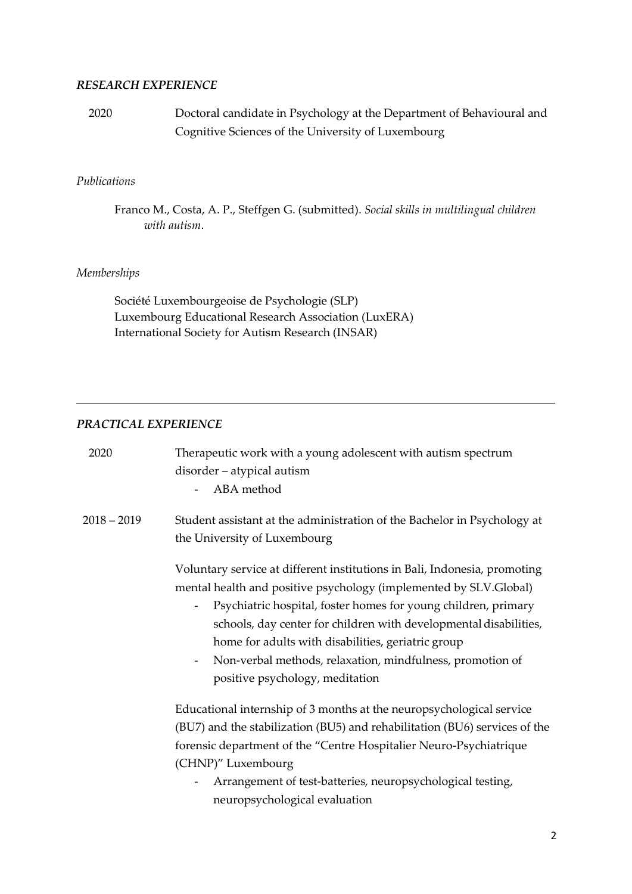#### *RESEARCH EXPERIENCE*

2020 Doctoral candidate in Psychology at the Department of Behavioural and Cognitive Sciences of the University of Luxembourg

#### *Publications*

Franco M., Costa, A. P., Steffgen G. (submitted). *Social skills in multilingual children with autism*.

#### *Memberships*

Société Luxembourgeoise de Psychologie (SLP) Luxembourg Educational Research Association (LuxERA) International Society for Autism Research (INSAR)

#### *PRACTICAL EXPERIENCE*

| 2020          | Therapeutic work with a young adolescent with autism spectrum<br>disorder - atypical autism<br>ABA method<br>$\sim$ 10 $\pm$                                                                                                                                                                                                                                                                                                                                                                        |
|---------------|-----------------------------------------------------------------------------------------------------------------------------------------------------------------------------------------------------------------------------------------------------------------------------------------------------------------------------------------------------------------------------------------------------------------------------------------------------------------------------------------------------|
| $2018 - 2019$ | Student assistant at the administration of the Bachelor in Psychology at<br>the University of Luxembourg                                                                                                                                                                                                                                                                                                                                                                                            |
|               | Voluntary service at different institutions in Bali, Indonesia, promoting<br>mental health and positive psychology (implemented by SLV.Global)<br>Psychiatric hospital, foster homes for young children, primary<br>$\overline{\phantom{a}}$<br>schools, day center for children with developmental disabilities,<br>home for adults with disabilities, geriatric group<br>Non-verbal methods, relaxation, mindfulness, promotion of<br>$\overline{\phantom{a}}$<br>positive psychology, meditation |
|               | Educational internship of 3 months at the neuropsychological service<br>(BU7) and the stabilization (BU5) and rehabilitation (BU6) services of the<br>forensic department of the "Centre Hospitalier Neuro-Psychiatrique<br>(CHNP)" Luxembourg<br>Arrangement of test-batteries, neuropsychological testing,<br>$\blacksquare$<br>neuropsychological evaluation                                                                                                                                     |